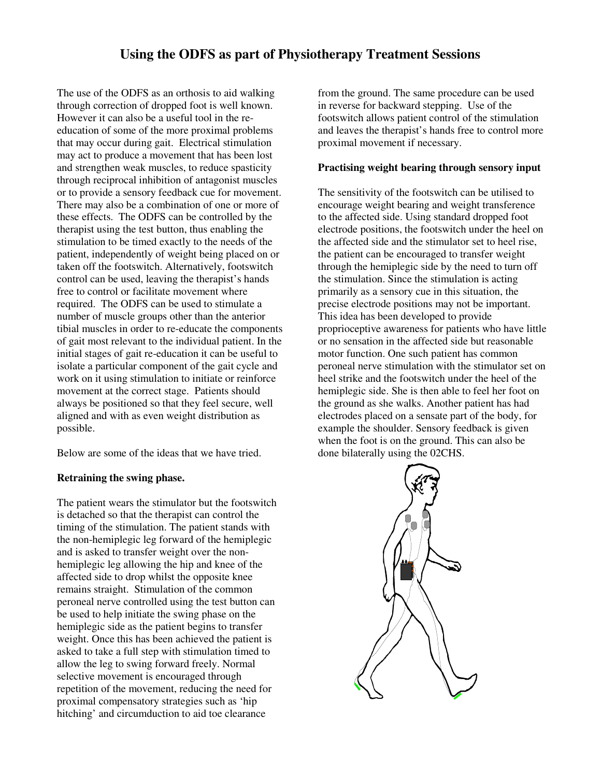# **Using the ODFS as part of Physiotherapy Treatment Sessions**

The use of the ODFS as an orthosis to aid walking through correction of dropped foot is well known. However it can also be a useful tool in the reeducation of some of the more proximal problems that may occur during gait. Electrical stimulation may act to produce a movement that has been lost and strengthen weak muscles, to reduce spasticity through reciprocal inhibition of antagonist muscles or to provide a sensory feedback cue for movement. There may also be a combination of one or more of these effects. The ODFS can be controlled by the therapist using the test button, thus enabling the stimulation to be timed exactly to the needs of the patient, independently of weight being placed on or taken off the footswitch. Alternatively, footswitch control can be used, leaving the therapist's hands free to control or facilitate movement where required. The ODFS can be used to stimulate a number of muscle groups other than the anterior tibial muscles in order to re-educate the components of gait most relevant to the individual patient. In the initial stages of gait re-education it can be useful to isolate a particular component of the gait cycle and work on it using stimulation to initiate or reinforce movement at the correct stage. Patients should always be positioned so that they feel secure, well aligned and with as even weight distribution as possible.

Below are some of the ideas that we have tried.

### **Retraining the swing phase.**

The patient wears the stimulator but the footswitch is detached so that the therapist can control the timing of the stimulation. The patient stands with the non-hemiplegic leg forward of the hemiplegic and is asked to transfer weight over the nonhemiplegic leg allowing the hip and knee of the affected side to drop whilst the opposite knee remains straight. Stimulation of the common peroneal nerve controlled using the test button can be used to help initiate the swing phase on the hemiplegic side as the patient begins to transfer weight. Once this has been achieved the patient is asked to take a full step with stimulation timed to allow the leg to swing forward freely. Normal selective movement is encouraged through repetition of the movement, reducing the need for proximal compensatory strategies such as 'hip hitching' and circumduction to aid toe clearance

from the ground. The same procedure can be used in reverse for backward stepping. Use of the footswitch allows patient control of the stimulation and leaves the therapist's hands free to control more proximal movement if necessary.

# **Practising weight bearing through sensory input**

The sensitivity of the footswitch can be utilised to encourage weight bearing and weight transference to the affected side. Using standard dropped foot electrode positions, the footswitch under the heel on the affected side and the stimulator set to heel rise, the patient can be encouraged to transfer weight through the hemiplegic side by the need to turn off the stimulation. Since the stimulation is acting primarily as a sensory cue in this situation, the precise electrode positions may not be important. This idea has been developed to provide proprioceptive awareness for patients who have little or no sensation in the affected side but reasonable motor function. One such patient has common peroneal nerve stimulation with the stimulator set on heel strike and the footswitch under the heel of the hemiplegic side. She is then able to feel her foot on the ground as she walks. Another patient has had electrodes placed on a sensate part of the body, for example the shoulder. Sensory feedback is given when the foot is on the ground. This can also be done bilaterally using the 02CHS.

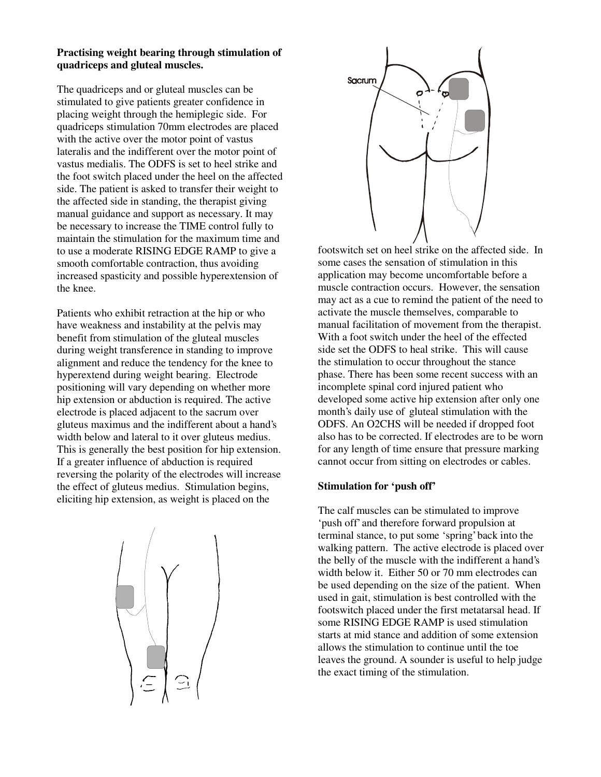### **Practising weight bearing through stimulation of quadriceps and gluteal muscles.**

The quadriceps and or gluteal muscles can be stimulated to give patients greater confidence in placing weight through the hemiplegic side. For quadriceps stimulation 70mm electrodes are placed with the active over the motor point of vastus lateralis and the indifferent over the motor point of vastus medialis. The ODFS is set to heel strike and the foot switch placed under the heel on the affected side. The patient is asked to transfer their weight to the affected side in standing, the therapist giving manual guidance and support as necessary. It may be necessary to increase the TIME control fully to maintain the stimulation for the maximum time and to use a moderate RISING EDGE RAMP to give a smooth comfortable contraction, thus avoiding increased spasticity and possible hyperextension of the knee.

Patients who exhibit retraction at the hip or who have weakness and instability at the pelvis may benefit from stimulation of the gluteal muscles during weight transference in standing to improve alignment and reduce the tendency for the knee to hyperextend during weight bearing. Electrode positioning will vary depending on whether more hip extension or abduction is required. The active electrode is placed adjacent to the sacrum over gluteus maximus and the indifferent about a hand's width below and lateral to it over gluteus medius. This is generally the best position for hip extension. If a greater influence of abduction is required reversing the polarity of the electrodes will increase the effect of gluteus medius. Stimulation begins, eliciting hip extension, as weight is placed on the





footswitch set on heel strike on the affected side. In some cases the sensation of stimulation in this application may become uncomfortable before a muscle contraction occurs. However, the sensation may act as a cue to remind the patient of the need to activate the muscle themselves, comparable to manual facilitation of movement from the therapist. With a foot switch under the heel of the effected side set the ODFS to heal strike. This will cause the stimulation to occur throughout the stance phase. There has been some recent success with an incomplete spinal cord injured patient who developed some active hip extension after only one month's daily use of gluteal stimulation with the ODFS. An O2CHS will be needed if dropped foot also has to be corrected. If electrodes are to be worn for any length of time ensure that pressure marking cannot occur from sitting on electrodes or cables.

#### **Stimulation for 'push off'**

The calf muscles can be stimulated to improve 'push off' and therefore forward propulsion at terminal stance, to put some 'spring' back into the walking pattern. The active electrode is placed over the belly of the muscle with the indifferent a hand's width below it. Either 50 or 70 mm electrodes can be used depending on the size of the patient. When used in gait, stimulation is best controlled with the footswitch placed under the first metatarsal head. If some RISING EDGE RAMP is used stimulation starts at mid stance and addition of some extension allows the stimulation to continue until the toe leaves the ground. A sounder is useful to help judge the exact timing of the stimulation.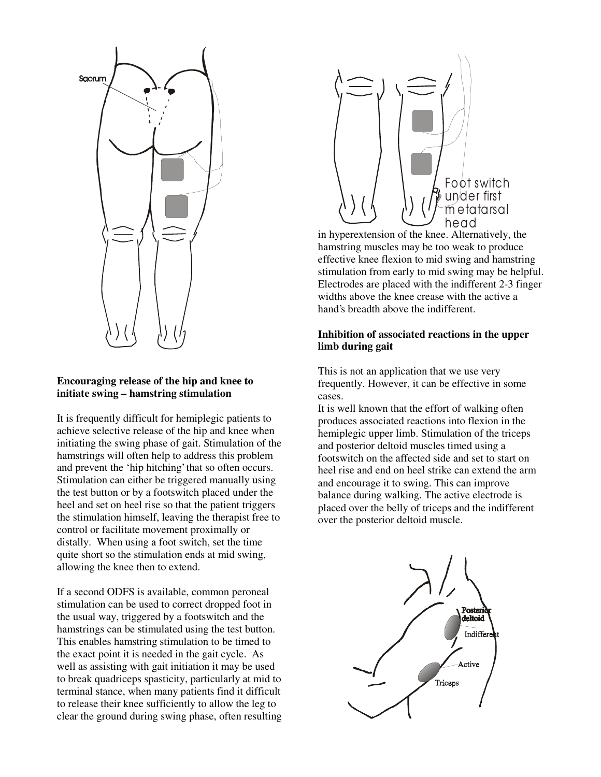

### **Encouraging release of the hip and knee to initiate swing – hamstring stimulation**

It is frequently difficult for hemiplegic patients to achieve selective release of the hip and knee when initiating the swing phase of gait. Stimulation of the hamstrings will often help to address this problem and prevent the 'hip hitching' that so often occurs. Stimulation can either be triggered manually using the test button or by a footswitch placed under the heel and set on heel rise so that the patient triggers the stimulation himself, leaving the therapist free to control or facilitate movement proximally or distally. When using a foot switch, set the time quite short so the stimulation ends at mid swing, allowing the knee then to extend.

If a second ODFS is available, common peroneal stimulation can be used to correct dropped foot in the usual way, triggered by a footswitch and the hamstrings can be stimulated using the test button. This enables hamstring stimulation to be timed to the exact point it is needed in the gait cycle. As well as assisting with gait initiation it may be used to break quadriceps spasticity, particularly at mid to terminal stance, when many patients find it difficult to release their knee sufficiently to allow the leg to clear the ground during swing phase, often resulting



in hyperextension of the knee. Alternatively, the hamstring muscles may be too weak to produce effective knee flexion to mid swing and hamstring stimulation from early to mid swing may be helpful. Electrodes are placed with the indifferent 2-3 finger widths above the knee crease with the active a hand's breadth above the indifferent.

# **Inhibition of associated reactions in the upper limb during gait**

This is not an application that we use very frequently. However, it can be effective in some cases.

It is well known that the effort of walking often produces associated reactions into flexion in the hemiplegic upper limb. Stimulation of the triceps and posterior deltoid muscles timed using a footswitch on the affected side and set to start on heel rise and end on heel strike can extend the arm and encourage it to swing. This can improve balance during walking. The active electrode is placed over the belly of triceps and the indifferent over the posterior deltoid muscle.